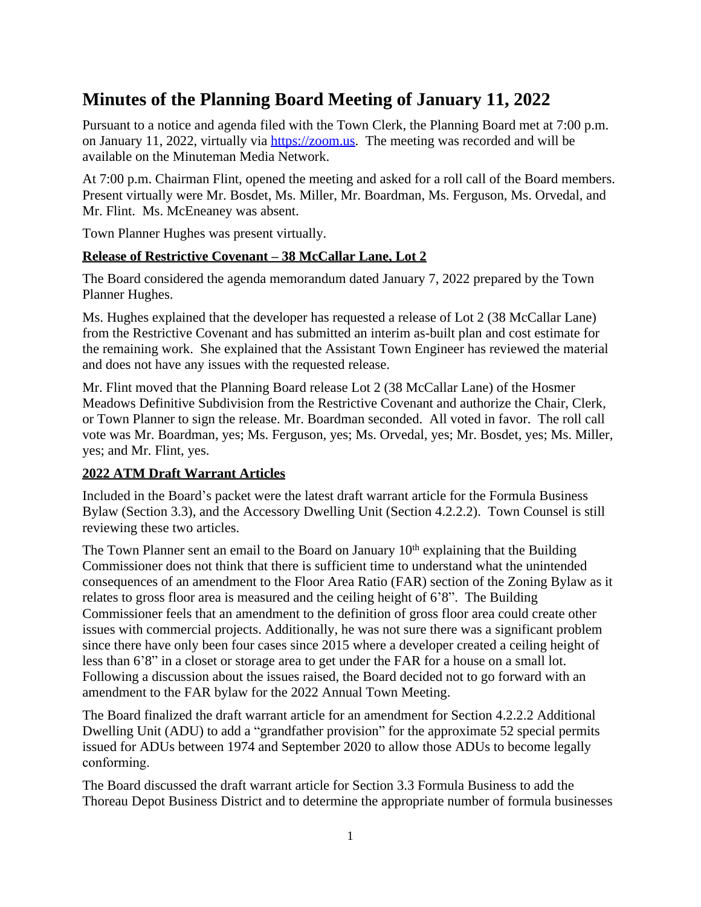# **Minutes of the Planning Board Meeting of January 11, 2022**

Pursuant to a notice and agenda filed with the Town Clerk, the Planning Board met at 7:00 p.m. on January 11, 2022, virtually via <https://zoom.us>. The meeting was recorded and will be available on the Minuteman Media Network.

At 7:00 p.m. Chairman Flint, opened the meeting and asked for a roll call of the Board members. Present virtually were Mr. Bosdet, Ms. Miller, Mr. Boardman, Ms. Ferguson, Ms. Orvedal, and Mr. Flint. Ms. McEneaney was absent.

Town Planner Hughes was present virtually.

# **Release of Restrictive Covenant – 38 McCallar Lane, Lot 2**

The Board considered the agenda memorandum dated January 7, 2022 prepared by the Town Planner Hughes.

Ms. Hughes explained that the developer has requested a release of Lot 2 (38 McCallar Lane) from the Restrictive Covenant and has submitted an interim as-built plan and cost estimate for the remaining work. She explained that the Assistant Town Engineer has reviewed the material and does not have any issues with the requested release.

Mr. Flint moved that the Planning Board release Lot 2 (38 McCallar Lane) of the Hosmer Meadows Definitive Subdivision from the Restrictive Covenant and authorize the Chair, Clerk, or Town Planner to sign the release. Mr. Boardman seconded. All voted in favor. The roll call vote was Mr. Boardman, yes; Ms. Ferguson, yes; Ms. Orvedal, yes; Mr. Bosdet, yes; Ms. Miller, yes; and Mr. Flint, yes.

# **2022 ATM Draft Warrant Articles**

Included in the Board's packet were the latest draft warrant article for the Formula Business Bylaw (Section 3.3), and the Accessory Dwelling Unit (Section 4.2.2.2). Town Counsel is still reviewing these two articles.

The Town Planner sent an email to the Board on January  $10<sup>th</sup>$  explaining that the Building Commissioner does not think that there is sufficient time to understand what the unintended consequences of an amendment to the Floor Area Ratio (FAR) section of the Zoning Bylaw as it relates to gross floor area is measured and the ceiling height of 6'8". The Building Commissioner feels that an amendment to the definition of gross floor area could create other issues with commercial projects. Additionally, he was not sure there was a significant problem since there have only been four cases since 2015 where a developer created a ceiling height of less than 6'8" in a closet or storage area to get under the FAR for a house on a small lot. Following a discussion about the issues raised, the Board decided not to go forward with an amendment to the FAR bylaw for the 2022 Annual Town Meeting.

The Board finalized the draft warrant article for an amendment for Section 4.2.2.2 Additional Dwelling Unit (ADU) to add a "grandfather provision" for the approximate 52 special permits issued for ADUs between 1974 and September 2020 to allow those ADUs to become legally conforming.

The Board discussed the draft warrant article for Section 3.3 Formula Business to add the Thoreau Depot Business District and to determine the appropriate number of formula businesses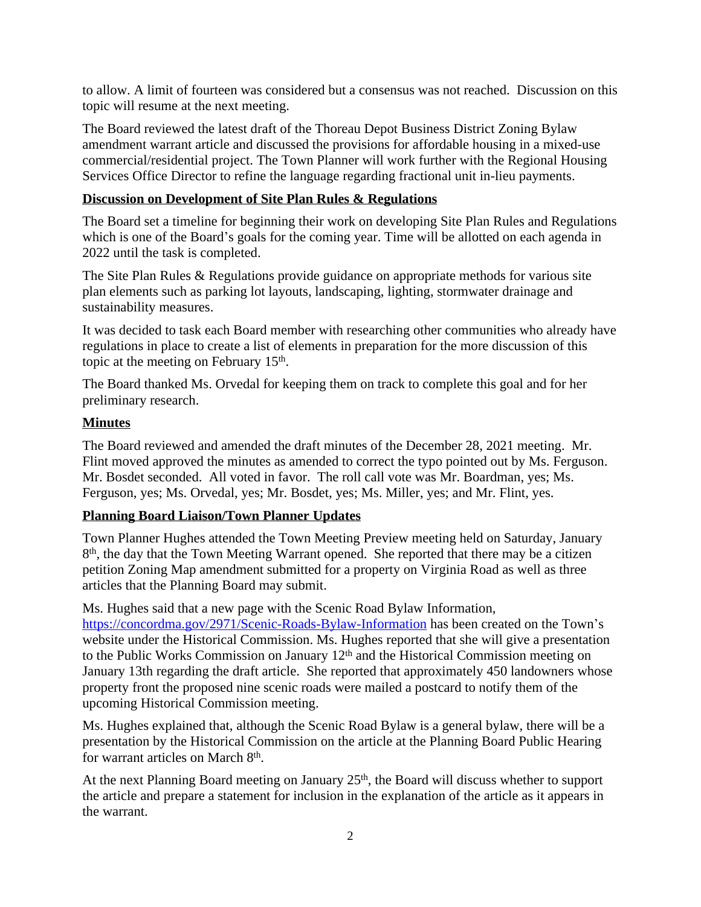to allow. A limit of fourteen was considered but a consensus was not reached. Discussion on this topic will resume at the next meeting.

The Board reviewed the latest draft of the Thoreau Depot Business District Zoning Bylaw amendment warrant article and discussed the provisions for affordable housing in a mixed-use commercial/residential project. The Town Planner will work further with the Regional Housing Services Office Director to refine the language regarding fractional unit in-lieu payments.

### **Discussion on Development of Site Plan Rules & Regulations**

The Board set a timeline for beginning their work on developing Site Plan Rules and Regulations which is one of the Board's goals for the coming year. Time will be allotted on each agenda in 2022 until the task is completed.

The Site Plan Rules & Regulations provide guidance on appropriate methods for various site plan elements such as parking lot layouts, landscaping, lighting, stormwater drainage and sustainability measures.

It was decided to task each Board member with researching other communities who already have regulations in place to create a list of elements in preparation for the more discussion of this topic at the meeting on February 15<sup>th</sup>.

The Board thanked Ms. Orvedal for keeping them on track to complete this goal and for her preliminary research.

#### **Minutes**

The Board reviewed and amended the draft minutes of the December 28, 2021 meeting. Mr. Flint moved approved the minutes as amended to correct the typo pointed out by Ms. Ferguson. Mr. Bosdet seconded. All voted in favor. The roll call vote was Mr. Boardman, yes; Ms. Ferguson, yes; Ms. Orvedal, yes; Mr. Bosdet, yes; Ms. Miller, yes; and Mr. Flint, yes.

#### **Planning Board Liaison/Town Planner Updates**

Town Planner Hughes attended the Town Meeting Preview meeting held on Saturday, January 8<sup>th</sup>, the day that the Town Meeting Warrant opened. She reported that there may be a citizen petition Zoning Map amendment submitted for a property on Virginia Road as well as three articles that the Planning Board may submit.

Ms. Hughes said that a new page with the Scenic Road Bylaw Information, <https://concordma.gov/2971/Scenic-Roads-Bylaw-Information>has been created on the Town's website under the Historical Commission. Ms. Hughes reported that she will give a presentation to the Public Works Commission on January 12<sup>th</sup> and the Historical Commission meeting on January 13th regarding the draft article. She reported that approximately 450 landowners whose property front the proposed nine scenic roads were mailed a postcard to notify them of the upcoming Historical Commission meeting.

Ms. Hughes explained that, although the Scenic Road Bylaw is a general bylaw, there will be a presentation by the Historical Commission on the article at the Planning Board Public Hearing for warrant articles on March 8<sup>th</sup>.

At the next Planning Board meeting on January 25<sup>th</sup>, the Board will discuss whether to support the article and prepare a statement for inclusion in the explanation of the article as it appears in the warrant.